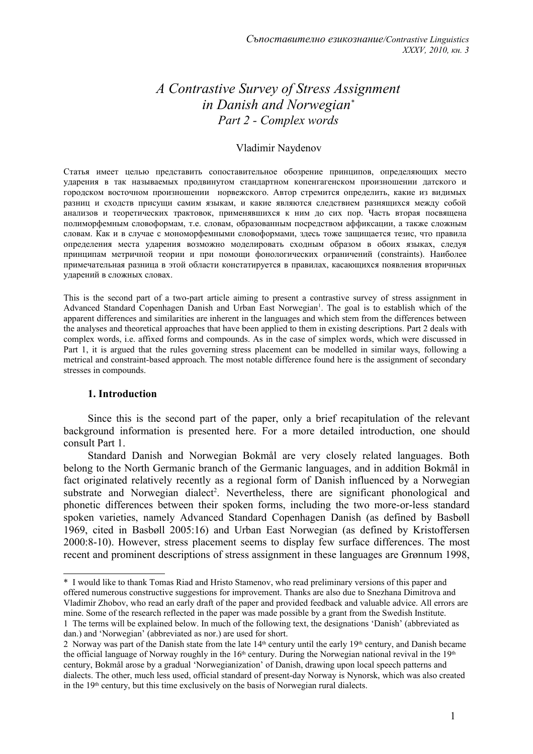# *A Contrastive Survey of Stress Assignment in Danish and Norwegian[\\*](#page-0-0) Part 2 - Complex words*

## Vladimir Naydenov

Статья имеет целью представить сопоставительное обозрение принципов, определяющих место ударения в так называемых продвинутом стандартном копенгагенском произношении датского и городском восточном произношении норвежского. Автор стремится определить, какие из видимых разниц и сходств присущи самим языкам, и какие являются следствием разнящихся между собой анализов и теоретических трактовок, применявшихся к ним до сих пор. Часть вторая посвящена полиморфемным словоформам, т.е. словам, образованным посредством аффиксации, а также сложным словам. Как и в случае с мономорфемными словоформами, здесь тоже защищается тезис, что правила определения места ударения возможно моделировать сходным образом в обоих языках, следуя принципам метричной теории и при помощи фонологических ограничений (constraints). Наиболее примечательная разница в этой области констатируется в правилах, касающихся появления вторичных ударений в сложных словах.

This is the second part of a two-part article aiming to present a contrastive survey of stress assignment in Advanced Standard Copenhagen Danish and Urban East Norwegian<sup>[1](#page-0-1)</sup>. The goal is to establish which of the apparent differences and similarities are inherent in the languages and which stem from the differences between the analyses and theoretical approaches that have been applied to them in existing descriptions. Part 2 deals with complex words, i.e. affixed forms and compounds. As in the case of simplex words, which were discussed in Part 1, it is argued that the rules governing stress placement can be modelled in similar ways, following a metrical and constraint-based approach. The most notable difference found here is the assignment of secondary stresses in compounds.

#### **1. Introduction**

Since this is the second part of the paper, only a brief recapitulation of the relevant background information is presented here. For a more detailed introduction, one should consult Part 1.

Standard Danish and Norwegian Bokmål are very closely related languages. Both belong to the North Germanic branch of the Germanic languages, and in addition Bokmål in fact originated relatively recently as a regional form of Danish influenced by a Norwegian substrate and Norwegian dialect<sup>[2](#page-0-2)</sup>. Nevertheless, there are significant phonological and phonetic differences between their spoken forms, including the two more-or-less standard spoken varieties, namely Advanced Standard Copenhagen Danish (as defined by Basbøll 1969, cited in Basbøll 2005:16) and Urban East Norwegian (as defined by Kristoffersen 2000:8-10). However, stress placement seems to display few surface differences. The most recent and prominent descriptions of stress assignment in these languages are Grønnum 1998,

<span id="page-0-0"></span><sup>\*</sup> I would like to thank Tomas Riad and Hristo Stamenov, who read preliminary versions of this paper and offered numerous constructive suggestions for improvement. Thanks are also due to Snezhana Dimitrova and Vladimir Zhobov, who read an early draft of the paper and provided feedback and valuable advice. All errors are mine. Some of the research reflected in the paper was made possible by a grant from the Swedish Institute. 1 The terms will be explained below. In much of the following text, the designations 'Danish' (abbreviated as

<span id="page-0-1"></span>dan.) and 'Norwegian' (abbreviated as nor.) are used for short.

<span id="page-0-2"></span><sup>2</sup> Norway was part of the Danish state from the late 14<sup>th</sup> century until the early 19<sup>th</sup> century, and Danish became the official language of Norway roughly in the 16<sup>th</sup> century. During the Norwegian national revival in the 19<sup>th</sup> century, Bokmål arose by a gradual 'Norwegianization' of Danish, drawing upon local speech patterns and dialects. The other, much less used, official standard of present-day Norway is Nynorsk, which was also created in the  $19<sup>th</sup>$  century, but this time exclusively on the basis of Norwegian rural dialects.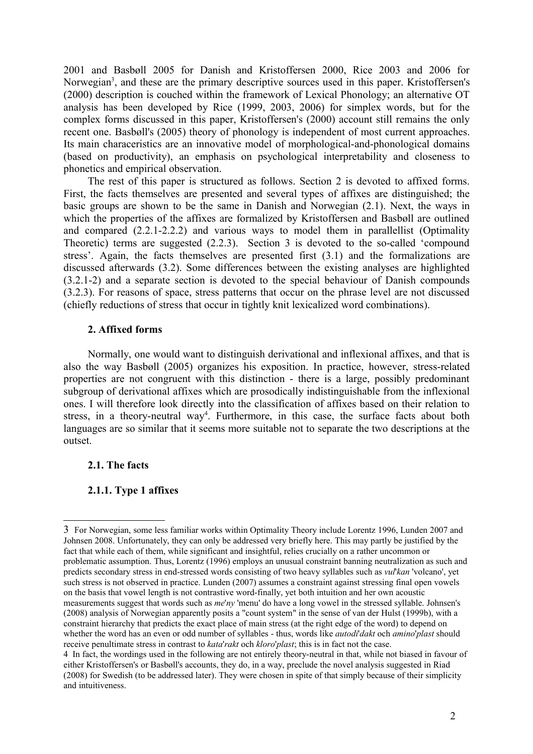2001 and Basbøll 2005 for Danish and Kristoffersen 2000, Rice 2003 and 2006 for Norwegian<sup>[3](#page-1-0)</sup>, and these are the primary descriptive sources used in this paper. Kristoffersen's (2000) description is couched within the framework of Lexical Phonology; an alternative OT analysis has been developed by Rice (1999, 2003, 2006) for simplex words, but for the complex forms discussed in this paper, Kristoffersen's (2000) account still remains the only recent one. Basbøll's (2005) theory of phonology is independent of most current approaches. Its main characeristics are an innovative model of morphological-and-phonological domains (based on productivity), an emphasis on psychological interpretability and closeness to phonetics and empirical observation.

The rest of this paper is structured as follows. Section 2 is devoted to affixed forms. First, the facts themselves are presented and several types of affixes are distinguished; the basic groups are shown to be the same in Danish and Norwegian (2.1). Next, the ways in which the properties of the affixes are formalized by Kristoffersen and Basbøll are outlined and compared (2.2.1-2.2.2) and various ways to model them in parallellist (Optimality Theoretic) terms are suggested (2.2.3). Section 3 is devoted to the so-called 'compound stress'. Again, the facts themselves are presented first (3.1) and the formalizations are discussed afterwards (3.2). Some differences between the existing analyses are highlighted (3.2.1-2) and a separate section is devoted to the special behaviour of Danish compounds (3.2.3). For reasons of space, stress patterns that occur on the phrase level are not discussed (chiefly reductions of stress that occur in tightly knit lexicalized word combinations).

#### **2. Affixed forms**

Normally, one would want to distinguish derivational and inflexional affixes, and that is also the way Basbøll (2005) organizes his exposition. In practice, however, stress-related properties are not congruent with this distinction - there is a large, possibly predominant subgroup of derivational affixes which are prosodically indistinguishable from the inflexional ones. I will therefore look directly into the classification of affixes based on their relation to stress, in a theory-neutral way<sup>[4](#page-1-1)</sup>. Furthermore, in this case, the surface facts about both languages are so similar that it seems more suitable not to separate the two descriptions at the outset.

## **2.1. The facts**

# **2.1.1. Type 1 affixes**

<span id="page-1-0"></span><sup>3</sup> For Norwegian, some less familiar works within Optimality Theory include Lorentz 1996, Lunden 2007 and Johnsen 2008. Unfortunately, they can only be addressed very briefly here. This may partly be justified by the fact that while each of them, while significant and insightful, relies crucially on a rather uncommon or problematic assumption. Thus, Lorentz (1996) employs an unusual constraint banning neutralization as such and predicts secondary stress in end-stressed words consisting of two heavy syllables such as *vul*'*kan* 'volcano', yet such stress is not observed in practice. Lunden (2007) assumes a constraint against stressing final open vowels on the basis that vowel length is not contrastive word-finally, yet both intuition and her own acoustic measurements suggest that words such as *me*'*ny* 'menu' do have a long vowel in the stressed syllable. Johnsen's (2008) analysis of Norwegian apparently posits a "count system" in the sense of van der Hulst (1999b), with a constraint hierarchy that predicts the exact place of main stress (at the right edge of the word) to depend on whether the word has an even or odd number of syllables - thus, words like *autodi*'*dakt* och *amino*'*plast* should receive penultimate stress in contrast to *kata*'*rakt* och *kloro*'*plast*; this is in fact not the case.

<span id="page-1-1"></span><sup>4</sup> In fact, the wordings used in the following are not entirely theory-neutral in that, while not biased in favour of either Kristoffersen's or Basbøll's accounts, they do, in a way, preclude the novel analysis suggested in Riad (2008) for Swedish (to be addressed later). They were chosen in spite of that simply because of their simplicity and intuitiveness.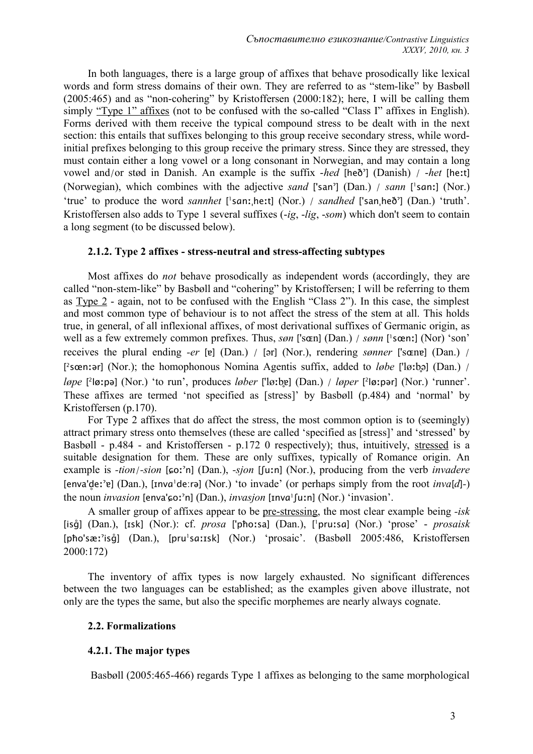In both languages, there is a large group of affixes that behave prosodically like lexical words and form stress domains of their own. They are referred to as "stem-like" by Basbøll (2005:465) and as "non-cohering" by Kristoffersen (2000:182); here, I will be calling them simply "Type 1" affixes (not to be confused with the so-called "Class I" affixes in English). Forms derived with them receive the typical compound stress to be dealt with in the next section: this entails that suffixes belonging to this group receive secondary stress, while wordinitial prefixes belonging to this group receive the primary stress. Since they are stressed, they must contain either a long vowel or a long consonant in Norwegian, and may contain a long vowel and/or stød in Danish. An example is the suffix -*hed* [heðˀ] (Danish) / -*het* [heːt] (Norwegian), which combines with the adjective *sand* ['san'] (Dan.) / *sann* ['san:] (Nor.) 'true' to produce the word *sannhet* ['sanːˌheːt] (Nor.) / *sandhed* ['sanˌheð'] (Dan.) 'truth'. Kristoffersen also adds to Type 1 several suffixes (-*ig*, -*lig*, -*som*) which don't seem to contain a long segment (to be discussed below).

## **2.1.2. Type 2 affixes - stress-neutral and stress-affecting subtypes**

Most affixes do *not* behave prosodically as independent words (accordingly, they are called "non-stem-like" by Basbøll and "cohering" by Kristoffersen; I will be referring to them as Type 2 - again, not to be confused with the English "Class 2"). In this case, the simplest and most common type of behaviour is to not affect the stress of the stem at all. This holds true, in general, of all inflexional affixes, of most derivational suffixes of Germanic origin, as well as a few extremely common prefixes. Thus, *søn* ['s**œ**n] (Dan.) / *sønn* ['sœnː] (Nor) 'son' receives the plural ending *-er* [ɐ] (Dan.) / [ər] (Nor.), rendering *sønner* ['sɶnɐ] (Dan.) / [ <sup>2</sup>sœnːər] (Nor.); the homophonous Nomina Agentis suffix, added to *løbe* ['løːb̥ə] (Dan.) / *løpe* [ 2 løːpə] (Nor.) 'to run', produces *løber* ['løːb̥ɐ] (Dan.) / *løper* [ 2 løːpər] (Nor.) 'runner'. These affixes are termed 'not specified as [stress]' by Basbøll (p.484) and 'normal' by Kristoffersen (p.170).

For Type 2 affixes that do affect the stress, the most common option is to (seemingly) attract primary stress onto themselves (these are called 'specified as [stress]' and 'stressed' by Basbøll - p.484 - and Kristoffersen - p.172 0 respectively); thus, intuitively, stressed is a suitable designation for them. These are only suffixes, typically of Romance origin. An example is *-tion*/*-sion* [ɕoːˀn] (Dan.), *-sjon* [ʃuːn] (Nor.), producing from the verb *invadere* [enva'd̥eːˀɐ] (Dan.), [ɪnvɑ<sup>1</sup>de:rə] (Nor.) 'to invade' (or perhaps simply from the root *inva*[*d*]*-*) the noun *invasion* [enva'ɕoːˀn] (Dan.), *invasjon* [ɪnvɑ<sup>1</sup> ʃuːn] (Nor.) 'invasion'.

A smaller group of affixes appear to be pre-stressing, the most clear example being *-isk* [isɡ̊] (Dan.), [ɪsk] (Nor.): cf. *prosa* ['pħoːsa] (Dan.), [ <sup>1</sup>pruːsɑ] (Nor.) 'prose' - *prosaisk* [pħo'sæː'iså] (Dan.), [pru'saːɪsk] (Nor.) 'prosaic'. (Basbøll 2005:486, Kristoffersen 2000:172)

The inventory of affix types is now largely exhausted. No significant differences between the two languages can be established; as the examples given above illustrate, not only are the types the same, but also the specific morphemes are nearly always cognate.

#### **2.2. Formalizations**

#### **4.2.1. The major types**

Basbøll (2005:465-466) regards Type 1 affixes as belonging to the same morphological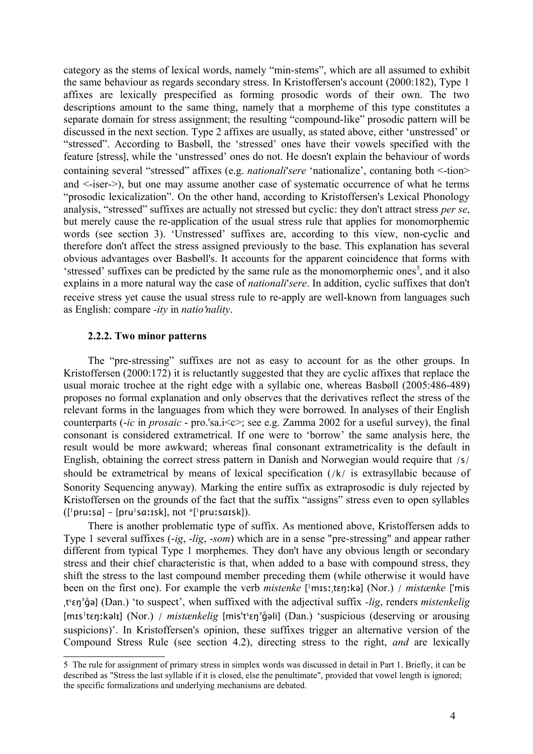category as the stems of lexical words, namely "min-stems", which are all assumed to exhibit the same behaviour as regards secondary stress. In Kristoffersen's account (2000:182), Type 1 affixes are lexically prespecified as forming prosodic words of their own. The two descriptions amount to the same thing, namely that a morpheme of this type constitutes a separate domain for stress assignment; the resulting "compound-like" prosodic pattern will be discussed in the next section. Type 2 affixes are usually, as stated above, either 'unstressed' or "stressed". According to Basbøll, the 'stressed' ones have their vowels specified with the feature [stress], while the 'unstressed' ones do not. He doesn't explain the behaviour of words containing several "stressed" affixes (e.g. *nationali*'*sere* 'nationalize', contaning both <-tion> and <-iser->), but one may assume another case of systematic occurrence of what he terms "prosodic lexicalization". On the other hand, according to Kristoffersen's Lexical Phonology analysis, "stressed" suffixes are actually not stressed but cyclic: they don't attract stress *per se*, but merely cause the re-application of the usual stress rule that applies for monomorphemic words (see section 3). 'Unstressed' suffixes are, according to this view, non-cyclic and therefore don't affect the stress assigned previously to the base. This explanation has several obvious advantages over Basbøll's. It accounts for the apparent coincidence that forms with 'stressed' suffixes can be predicted by the same rule as the monomorphemic ones<sup>[5](#page-3-0)</sup>, and it also explains in a more natural way the case of *nationali*'*sere*. In addition, cyclic suffixes that don't receive stress yet cause the usual stress rule to re-apply are well-known from languages such as English: compare *-ity* in *natio*'*nality*.

#### **2.2.2. Two minor patterns**

The "pre-stressing" suffixes are not as easy to account for as the other groups. In Kristoffersen (2000:172) it is reluctantly suggested that they are cyclic affixes that replace the usual moraic trochee at the right edge with a syllabic one, whereas Basbøll (2005:486-489) proposes no formal explanation and only observes that the derivatives reflect the stress of the relevant forms in the languages from which they were borrowed. In analyses of their English counterparts  $(-ic \text{ in } prosaic - \text{ pro } 'sa.i < c > ;$  see e.g. Zamma 2002 for a useful survey), the final consonant is considered extrametrical. If one were to 'borrow' the same analysis here, the result would be more awkward; whereas final consonant extrametricality is the default in English, obtaining the correct stress pattern in Danish and Norwegian would require that /s/ should be extrametrical by means of lexical specification (/k/ is extrasyllabic because of Sonority Sequencing anyway). Marking the entire suffix as extraprosodic is duly rejected by Kristoffersen on the grounds of the fact that the suffix "assigns" stress even to open syllables ([ <sup>1</sup>pruːsɑ] - [pru<sup>1</sup>sɑːɪsk], not \*[<sup>1</sup>pruːsɑɪsk]).

There is another problematic type of suffix. As mentioned above, Kristoffersen adds to Type 1 several suffixes (-*ig*, -*lig*, -*som*) which are in a sense "pre-stressing" and appear rather different from typical Type 1 morphemes. They don't have any obvious length or secondary stress and their chief characteristic is that, when added to a base with compound stress, they shift the stress to the last compound member preceding them (while otherwise it would have been on the first one). For example the verb *mistenke* [ <sup>1</sup>mɪsːˌtɛŋːkə] (Nor.) / *mistænke* ['mis ˌts ɛŋˀɡ̊ə] (Dan.) 'to suspect', when suffixed with the adjectival suffix *-lig*, renders *mistenkelig* [mɪs<sup>1</sup>tɛŋːkəlɪ] (Nor.) / mistænkelig [mis't<sup>s</sup>ɛŋ'g̊əli] (Dan.) 'suspicious (deserving or arousing suspicions)'. In Kristoffersen's opinion, these suffixes trigger an alternative version of the Compound Stress Rule (see section 4.2), directing stress to the right, *and* are lexically

<span id="page-3-0"></span><sup>5</sup> The rule for assignment of primary stress in simplex words was discussed in detail in Part 1. Briefly, it can be described as "Stress the last syllable if it is closed, else the penultimate", provided that vowel length is ignored; the specific formalizations and underlying mechanisms are debated.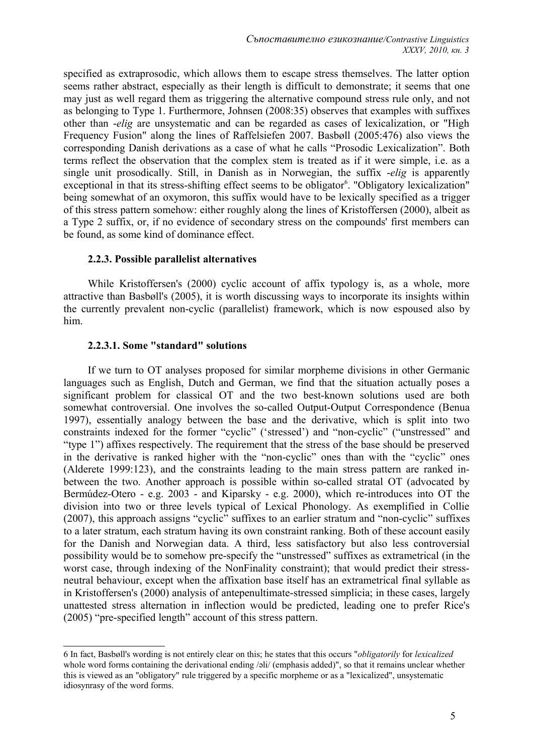specified as extraprosodic, which allows them to escape stress themselves. The latter option seems rather abstract, especially as their length is difficult to demonstrate; it seems that one may just as well regard them as triggering the alternative compound stress rule only, and not as belonging to Type 1. Furthermore, Johnsen (2008:35) observes that examples with suffixes other than -*elig* are unsystematic and can be regarded as cases of lexicalization, or "High Frequency Fusion" along the lines of Raffelsiefen 2007. Basbøll (2005:476) also views the corresponding Danish derivations as a case of what he calls "Prosodic Lexicalization". Both terms reflect the observation that the complex stem is treated as if it were simple, i.e. as a single unit prosodically. Still, in Danish as in Norwegian, the suffix -*elig* is apparently exceptional in that its stress-shifting effect seems to be obligator<sup>[6](#page-4-0)</sup>. "Obligatory lexicalization" being somewhat of an oxymoron, this suffix would have to be lexically specified as a trigger of this stress pattern somehow: either roughly along the lines of Kristoffersen (2000), albeit as a Type 2 suffix, or, if no evidence of secondary stress on the compounds' first members can be found, as some kind of dominance effect.

#### **2.2.3. Possible parallelist alternatives**

While Kristoffersen's (2000) cyclic account of affix typology is, as a whole, more attractive than Basbøll's (2005), it is worth discussing ways to incorporate its insights within the currently prevalent non-cyclic (parallelist) framework, which is now espoused also by him.

#### **2.2.3.1. Some "standard" solutions**

If we turn to OT analyses proposed for similar morpheme divisions in other Germanic languages such as English, Dutch and German, we find that the situation actually poses a significant problem for classical OT and the two best-known solutions used are both somewhat controversial. One involves the so-called Output-Output Correspondence (Benua 1997), essentially analogy between the base and the derivative, which is split into two constraints indexed for the former "cyclic" ('stressed') and "non-cyclic" ("unstressed" and "type 1") affixes respectively. The requirement that the stress of the base should be preserved in the derivative is ranked higher with the "non-cyclic" ones than with the "cyclic" ones (Alderete 1999:123), and the constraints leading to the main stress pattern are ranked inbetween the two. Another approach is possible within so-called stratal OT (advocated by Bermúdez-Otero - e.g. 2003 - and Kiparsky - e.g. 2000), which re-introduces into OT the division into two or three levels typical of Lexical Phonology. As exemplified in Collie (2007), this approach assigns "cyclic" suffixes to an earlier stratum and "non-cyclic" suffixes to a later stratum, each stratum having its own constraint ranking. Both of these account easily for the Danish and Norwegian data. A third, less satisfactory but also less controversial possibility would be to somehow pre-specify the "unstressed" suffixes as extrametrical (in the worst case, through indexing of the NonFinality constraint); that would predict their stressneutral behaviour, except when the affixation base itself has an extrametrical final syllable as in Kristoffersen's (2000) analysis of antepenultimate-stressed simplicia; in these cases, largely unattested stress alternation in inflection would be predicted, leading one to prefer Rice's (2005) "pre-specified length" account of this stress pattern.

<span id="page-4-0"></span><sup>6</sup> In fact, Basbøll's wording is not entirely clear on this; he states that this occurs "*obligatorily* for *lexicalized* whole word forms containing the derivational ending /əli/ (emphasis added)", so that it remains unclear whether this is viewed as an "obligatory" rule triggered by a specific morpheme or as a "lexicalized", unsystematic idiosynrasy of the word forms.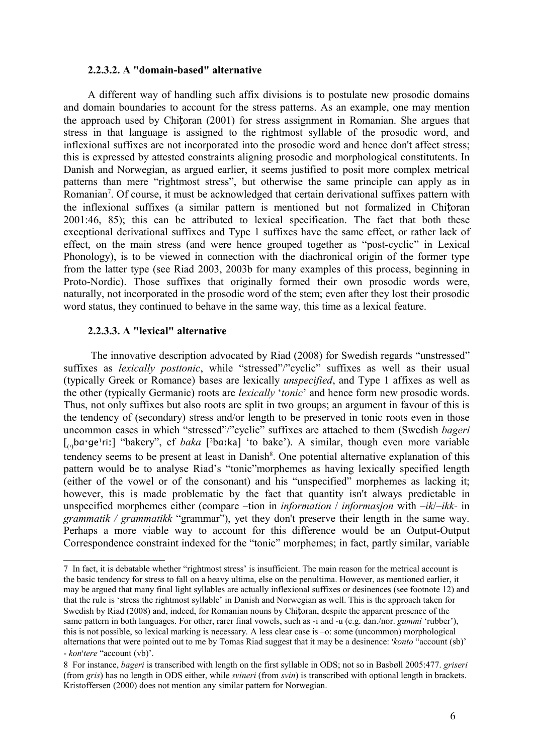#### **2.2.3.2. A "domain-based" alternative**

A different way of handling such affix divisions is to postulate new prosodic domains and domain boundaries to account for the stress patterns. As an example, one may mention the approach used by Chițoran (2001) for stress assignment in Romanian. She argues that stress in that language is assigned to the rightmost syllable of the prosodic word, and inflexional suffixes are not incorporated into the prosodic word and hence don't affect stress; this is expressed by attested constraints aligning prosodic and morphological constitutents. In Danish and Norwegian, as argued earlier, it seems justified to posit more complex metrical patterns than mere "rightmost stress", but otherwise the same principle can apply as in Romanian<sup>[7](#page-5-0)</sup>. Of course, it must be acknowledged that certain derivational suffixes pattern with the inflexional suffixes (a similar pattern is mentioned but not formalized in Chițoran 2001:46, 85); this can be attributed to lexical specification. The fact that both these exceptional derivational suffixes and Type 1 suffixes have the same effect, or rather lack of effect, on the main stress (and were hence grouped together as "post-cyclic" in Lexical Phonology), is to be viewed in connection with the diachronical origin of the former type from the latter type (see Riad 2003, 2003b for many examples of this process, beginning in Proto-Nordic). Those suffixes that originally formed their own prosodic words were, naturally, not incorporated in the prosodic word of the stem; even after they lost their prosodic word status, they continued to behave in the same way, this time as a lexical feature.

## **2.2.3.3. A "lexical" alternative**

The innovative description advocated by Riad (2008) for Swedish regards "unstressed" suffixes as *lexically posttonic*, while "stressed"/"cyclic" suffixes as well as their usual (typically Greek or Romance) bases are lexically *unspecified*, and Type 1 affixes as well as the other (typically Germanic) roots are *lexically* '*tonic*' and hence form new prosodic words. Thus, not only suffixes but also roots are split in two groups; an argument in favour of this is the tendency of (secondary) stress and/or length to be preserved in tonic roots even in those uncommon cases in which "stressed"/"cyclic" suffixes are attached to them (Swedish *bageri* [<sub>(1)</sub>ba·ge<sup>1</sup>riː] "bakery", cf *baka* [<sup>2</sup>baːka] 'to bake'). A similar, though even more variable tendency seems to be present at least in Danish $\delta$ . One potential alternative explanation of this pattern would be to analyse Riad's "tonic"morphemes as having lexically specified length (either of the vowel or of the consonant) and his "unspecified" morphemes as lacking it; however, this is made problematic by the fact that quantity isn't always predictable in unspecified morphemes either (compare –tion in *information* / *informasjon* with –*ik*/–*ikk-* in *grammatik / grammatikk* "grammar"), yet they don't preserve their length in the same way. Perhaps a more viable way to account for this difference would be an Output-Output Correspondence constraint indexed for the "tonic" morphemes; in fact, partly similar, variable

<span id="page-5-0"></span><sup>7</sup> In fact, it is debatable whether "rightmost stress' is insufficient. The main reason for the metrical account is the basic tendency for stress to fall on a heavy ultima, else on the penultima. However, as mentioned earlier, it may be argued that many final light syllables are actually inflexional suffixes or desinences (see footnote 12) and that the rule is 'stress the rightmost syllable' in Danish and Norwegian as well. This is the approach taken for Swedish by Riad (2008) and, indeed, for Romanian nouns by Chițoran, despite the apparent presence of the same pattern in both languages. For other, rarer final vowels, such as -i and -u (e.g. dan./nor. *gummi* 'rubber'), this is not possible, so lexical marking is necessary. A less clear case is –o: some (uncommon) morphological alternations that were pointed out to me by Tomas Riad suggest that it may be a desinence: ˈ*konto* "account (sb)' - *kon*ˈ*tere* "account (vb)'.

<span id="page-5-1"></span><sup>8</sup> For instance, *bageri* is transcribed with length on the first syllable in ODS; not so in Basbøll 2005:477. *griseri* (from *gris*) has no length in ODS either, while *svineri* (from *svin*) is transcribed with optional length in brackets. Kristoffersen (2000) does not mention any similar pattern for Norwegian.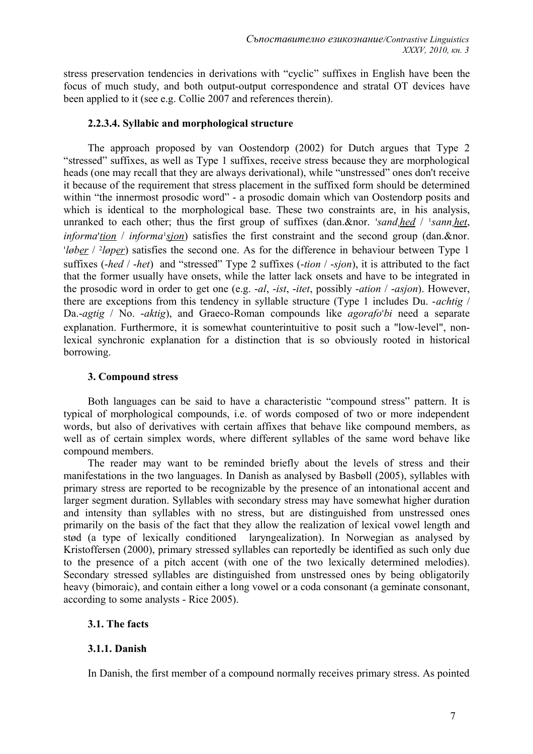stress preservation tendencies in derivations with "cyclic" suffixes in English have been the focus of much study, and both output-output correspondence and stratal OT devices have been applied to it (see e.g. Collie 2007 and references therein).

## **2.2.3.4. Syllabic and morphological structure**

The approach proposed by van Oostendorp (2002) for Dutch argues that Type 2 "stressed" suffixes, as well as Type 1 suffixes, receive stress because they are morphological heads (one may recall that they are always derivational), while "unstressed" ones don't receive it because of the requirement that stress placement in the suffixed form should be determined within "the innermost prosodic word" - a prosodic domain which van Oostendorp posits and which is identical to the morphological base. These two constraints are, in his analysis, unranked to each other; thus the first group of suffixes (dan.&nor. 'sand.hed / 'sann.het, *informa 'tion* / *informa* '*sjon*) satisfies the first constraint and the second group (dan.&nor. '*løber* / <sup>2</sup>*løper*) satisfies the second one. As for the difference in behaviour between Type 1 suffixes (-*hed* / -*het*) and "stressed" Type 2 suffixes (-*tion* / -*sjon*), it is attributed to the fact that the former usually have onsets, while the latter lack onsets and have to be integrated in the prosodic word in order to get one (e.g. -*al*, -*ist*, -*itet*, possibly -*ation* / -*asjon*). However, there are exceptions from this tendency in syllable structure (Type 1 includes Du. -*achtig* / Da.-*agtig* / No. -*aktig*), and Graeco-Roman compounds like *agorafo*ˈ*bi* need a separate explanation. Furthermore, it is somewhat counterintuitive to posit such a "low-level", nonlexical synchronic explanation for a distinction that is so obviously rooted in historical borrowing.

## **3. Compound stress**

Both languages can be said to have a characteristic "compound stress" pattern. It is typical of morphological compounds, i.e. of words composed of two or more independent words, but also of derivatives with certain affixes that behave like compound members, as well as of certain simplex words, where different syllables of the same word behave like compound members.

The reader may want to be reminded briefly about the levels of stress and their manifestations in the two languages. In Danish as analysed by Basbøll (2005), syllables with primary stress are reported to be recognizable by the presence of an intonational accent and larger segment duration. Syllables with secondary stress may have somewhat higher duration and intensity than syllables with no stress, but are distinguished from unstressed ones primarily on the basis of the fact that they allow the realization of lexical vowel length and stød (a type of lexically conditioned laryngealization). In Norwegian as analysed by Kristoffersen (2000), primary stressed syllables can reportedly be identified as such only due to the presence of a pitch accent (with one of the two lexically determined melodies). Secondary stressed syllables are distinguished from unstressed ones by being obligatorily heavy (bimoraic), and contain either a long vowel or a coda consonant (a geminate consonant, according to some analysts - Rice 2005).

# **3.1. The facts**

# **3.1.1. Danish**

In Danish, the first member of a compound normally receives primary stress. As pointed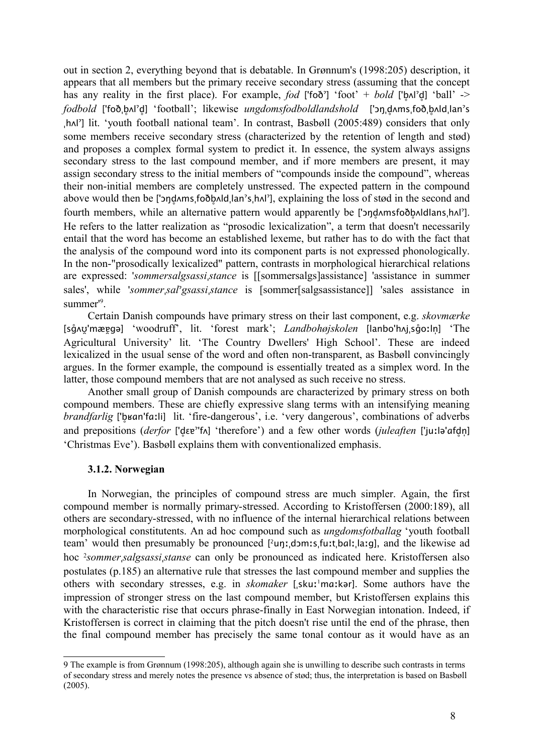out in section 2, everything beyond that is debatable. In Grønnum's (1998:205) description, it appears that all members but the primary receive secondary stress (assuming that the concept has any reality in the first place). For example, *fod*  $\left[\frac{6}{100}\right]$  'foot' + *bold*  $\left[\frac{6}{100}\right]$  'ball' -> *fodbold* ['foðˌb̥ʌlˀd̥] 'football'; likewise *ungdomsfodboldlandshold* ['ɔŋˌd̥ʌmsˌfoðˌb̥ʌldˌlanˀs ˌhʌlˀ] lit. 'youth football national team'. In contrast, Basbøll (2005:489) considers that only some members receive secondary stress (characterized by the retention of length and stød) and proposes a complex formal system to predict it. In essence, the system always assigns secondary stress to the last compound member, and if more members are present, it may assign secondary stress to the initial members of "compounds inside the compound", whereas their non-initial members are completely unstressed. The expected pattern in the compound above would then be ['ɔŋdʌmsˌfoðbʌldˌlan'sˌhʌl'], explaining the loss of stød in the second and fourth members, while an alternative pattern would apparently be ['ond ansfootbaldlans, hal']. He refers to the latter realization as "prosodic lexicalization", a term that doesn't necessarily entail that the word has become an established lexeme, but rather has to do with the fact that the analysis of the compound word into its component parts is not expressed phonologically. In the non-"prosodically lexicalized" pattern, contrasts in morphological hierarchical relations are expressed: '*sommersalgsassi*ˌ*stance* is [[sommersalgs]assistance] 'assistance in summer sales', while '*sommer*ˌ*sal*ˀ*gsassi*ˌ*stance* is [sommer[salgsassistance]] 'sales assistance in summer<sup>'[9](#page-7-0)</sup>.

Certain Danish compounds have primary stress on their last component, e.g. *skovmærke* [sɡ̊ʌʊ̯'mæɐ̯ɡə] 'woodruff', lit. 'forest mark'; *Landbohøjskolen* [lanbo'hʌjˌsɡ̊oːln̩] 'The Agricultural University' lit. 'The Country Dwellers' High School'. These are indeed lexicalized in the usual sense of the word and often non-transparent, as Basbøll convincingly argues. In the former example, the compound is essentially treated as a simplex word. In the latter, those compound members that are not analysed as such receive no stress.

Another small group of Danish compounds are characterized by primary stress on both compound members. These are chiefly expressive slang terms with an intensifying meaning *brandfarlig* ['b̥ʁɑn'fɑːli] lit. 'fire-dangerous', i.e. 'very dangerous', combinations of adverbs and prepositions (*derfor* ['dɛɐ<sup>'</sup>'fʌ] 'therefore') and a few other words (*juleaften* ['juːlə'afdn] 'Christmas Eve'). Basbøll explains them with conventionalized emphasis.

## **3.1.2. Norwegian**

In Norwegian, the principles of compound stress are much simpler. Again, the first compound member is normally primary-stressed. According to Kristoffersen (2000:189), all others are secondary-stressed, with no influence of the internal hierarchical relations between morphological constitutents. An ad hoc compound such as *ungdomsfotballag* 'youth football team' would then presumably be pronounced [ <sup>2</sup>uŋːˌdɔmːsˌfuːtˌbɑlːˌlaːg], and the likewise ad hoc 2*sommer*ˌ*salgsassi*ˌ*stanse* can only be pronounced as indicated here. Kristoffersen also postulates (p.185) an alternative rule that stresses the last compound member and supplies the others with secondary stresses, e.g. in *skomaker* [ˌskuː<sup>1</sup>mɑːkər]. Some authors have the impression of stronger stress on the last compound member, but Kristoffersen explains this with the characteristic rise that occurs phrase-finally in East Norwegian intonation. Indeed, if Kristoffersen is correct in claiming that the pitch doesn't rise until the end of the phrase, then the final compound member has precisely the same tonal contour as it would have as an

<span id="page-7-0"></span><sup>9</sup> The example is from Grønnum (1998:205), although again she is unwilling to describe such contrasts in terms of secondary stress and merely notes the presence vs absence of stød; thus, the interpretation is based on Basbøll (2005).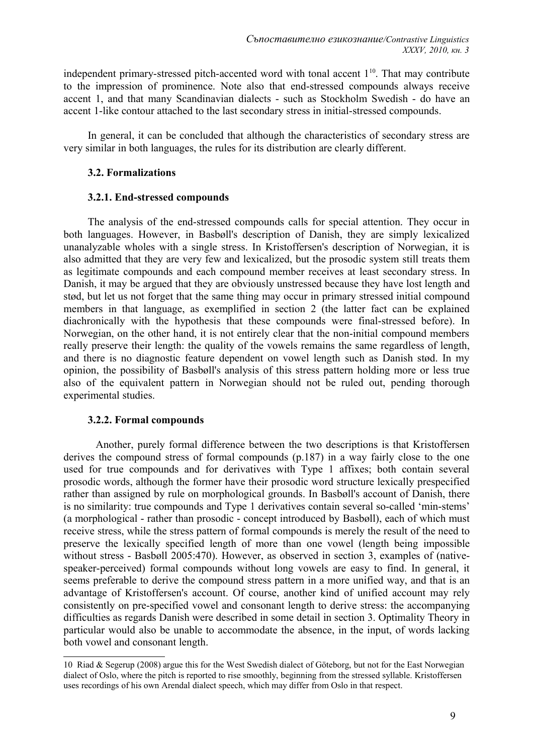independent primary-stressed pitch-accented word with tonal accent  $1<sup>10</sup>$  $1<sup>10</sup>$  $1<sup>10</sup>$ . That may contribute to the impression of prominence. Note also that end-stressed compounds always receive accent 1, and that many Scandinavian dialects - such as Stockholm Swedish - do have an accent 1-like contour attached to the last secondary stress in initial-stressed compounds.

In general, it can be concluded that although the characteristics of secondary stress are very similar in both languages, the rules for its distribution are clearly different.

## **3.2. Formalizations**

## **3.2.1. End-stressed compounds**

The analysis of the end-stressed compounds calls for special attention. They occur in both languages. However, in Basbøll's description of Danish, they are simply lexicalized unanalyzable wholes with a single stress. In Kristoffersen's description of Norwegian, it is also admitted that they are very few and lexicalized, but the prosodic system still treats them as legitimate compounds and each compound member receives at least secondary stress. In Danish, it may be argued that they are obviously unstressed because they have lost length and stød, but let us not forget that the same thing may occur in primary stressed initial compound members in that language, as exemplified in section 2 (the latter fact can be explained diachronically with the hypothesis that these compounds were final-stressed before). In Norwegian, on the other hand, it is not entirely clear that the non-initial compound members really preserve their length: the quality of the vowels remains the same regardless of length, and there is no diagnostic feature dependent on vowel length such as Danish stød. In my opinion, the possibility of Basbøll's analysis of this stress pattern holding more or less true also of the equivalent pattern in Norwegian should not be ruled out, pending thorough experimental studies.

# **3.2.2. Formal compounds**

 Another, purely formal difference between the two descriptions is that Kristoffersen derives the compound stress of formal compounds (p.187) in a way fairly close to the one used for true compounds and for derivatives with Type 1 affixes; both contain several prosodic words, although the former have their prosodic word structure lexically prespecified rather than assigned by rule on morphological grounds. In Basbøll's account of Danish, there is no similarity: true compounds and Type 1 derivatives contain several so-called 'min-stems' (a morphological - rather than prosodic - concept introduced by Basbøll), each of which must receive stress, while the stress pattern of formal compounds is merely the result of the need to preserve the lexically specified length of more than one vowel (length being impossible without stress - Basbøll 2005:470). However, as observed in section 3, examples of (nativespeaker-perceived) formal compounds without long vowels are easy to find. In general, it seems preferable to derive the compound stress pattern in a more unified way, and that is an advantage of Kristoffersen's account. Of course, another kind of unified account may rely consistently on pre-specified vowel and consonant length to derive stress: the accompanying difficulties as regards Danish were described in some detail in section 3. Optimality Theory in particular would also be unable to accommodate the absence, in the input, of words lacking both vowel and consonant length.

<span id="page-8-0"></span><sup>10</sup> Riad & Segerup (2008) argue this for the West Swedish dialect of Göteborg, but not for the East Norwegian dialect of Oslo, where the pitch is reported to rise smoothly, beginning from the stressed syllable. Kristoffersen uses recordings of his own Arendal dialect speech, which may differ from Oslo in that respect.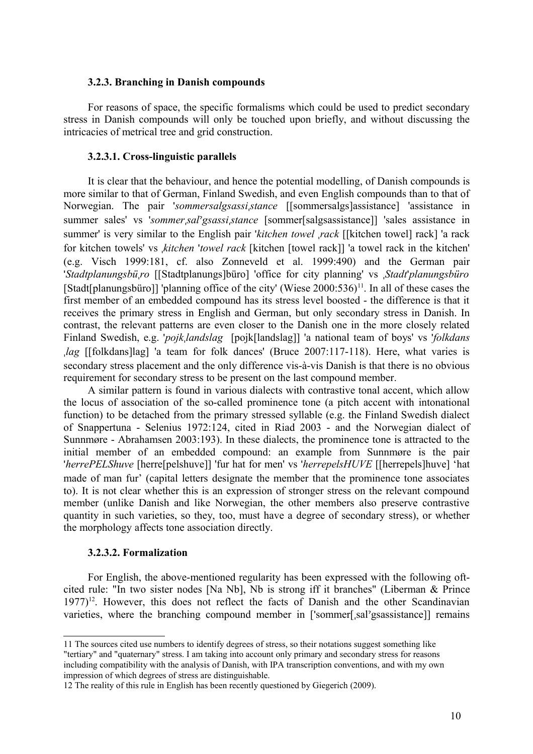#### **3.2.3. Branching in Danish compounds**

For reasons of space, the specific formalisms which could be used to predict secondary stress in Danish compounds will only be touched upon briefly, and without discussing the intricacies of metrical tree and grid construction.

## **3.2.3.1. Cross-linguistic parallels**

It is clear that the behaviour, and hence the potential modelling, of Danish compounds is more similar to that of German, Finland Swedish, and even English compounds than to that of Norwegian. The pair '*sommersalgsassi*ˌ*stance* [[sommersalgs]assistance] 'assistance in summer sales' vs '*sommer*ˌ*sal*ˀ*gsassi*ˌ*stance* [sommer[salgsassistance]] 'sales assistance in summer' is very similar to the English pair '*kitchen towel* ˌ*rack* [[kitchen towel] rack] 'a rack for kitchen towels' vs ˌ*kitchen* '*towel rack* [kitchen [towel rack]] 'a towel rack in the kitchen' (e.g. Visch 1999:181, cf. also Zonneveld et al. 1999:490) and the German pair '*Stadtplanungsbü*ˌ*ro* [[Stadtplanungs]büro] 'office for city planning' vs ˌ*Stadt*'*planungsbüro* [Stadt[planungsbüro]] 'planning office of the city' (Wiese  $2000:536$ )<sup>[11](#page-9-0)</sup>. In all of these cases the first member of an embedded compound has its stress level boosted - the difference is that it receives the primary stress in English and German, but only secondary stress in Danish. In contrast, the relevant patterns are even closer to the Danish one in the more closely related Finland Swedish, e.g. '*pojk*ˌ*landslag* [pojk[landslag]] 'a national team of boys' vs '*folkdans* ˌ*lag* [[folkdans]lag] 'a team for folk dances' (Bruce 2007:117-118). Here, what varies is secondary stress placement and the only difference vis-à-vis Danish is that there is no obvious requirement for secondary stress to be present on the last compound member.

A similar pattern is found in various dialects with contrastive tonal accent, which allow the locus of association of the so-called prominence tone (a pitch accent with intonational function) to be detached from the primary stressed syllable (e.g. the Finland Swedish dialect of Snappertuna - Selenius 1972:124, cited in Riad 2003 - and the Norwegian dialect of Sunnmøre - Abrahamsen 2003:193). In these dialects, the prominence tone is attracted to the initial member of an embedded compound: an example from Sunnmøre is the pair '*herrePELShuve* [herre[pelshuve]] 'fur hat for men' vs '*herrepelsHUVE* [[herrepels]huve] 'hat made of man fur' (capital letters designate the member that the prominence tone associates to). It is not clear whether this is an expression of stronger stress on the relevant compound member (unlike Danish and like Norwegian, the other members also preserve contrastive quantity in such varieties, so they, too, must have a degree of secondary stress), or whether the morphology affects tone association directly.

## **3.2.3.2. Formalization**

For English, the above-mentioned regularity has been expressed with the following oftcited rule: "In two sister nodes [Na Nb], Nb is strong iff it branches" (Liberman & Prince  $1977$ <sup>[12](#page-9-1)</sup>. However, this does not reflect the facts of Danish and the other Scandinavian varieties, where the branching compound member in ['sommer[ˌsalˀgsassistance]] remains

<span id="page-9-0"></span><sup>11</sup> The sources cited use numbers to identify degrees of stress, so their notations suggest something like "tertiary" and "quaternary" stress. I am taking into account only primary and secondary stress for reasons including compatibility with the analysis of Danish, with IPA transcription conventions, and with my own impression of which degrees of stress are distinguishable.

<span id="page-9-1"></span><sup>12</sup> The reality of this rule in English has been recently questioned by Giegerich (2009).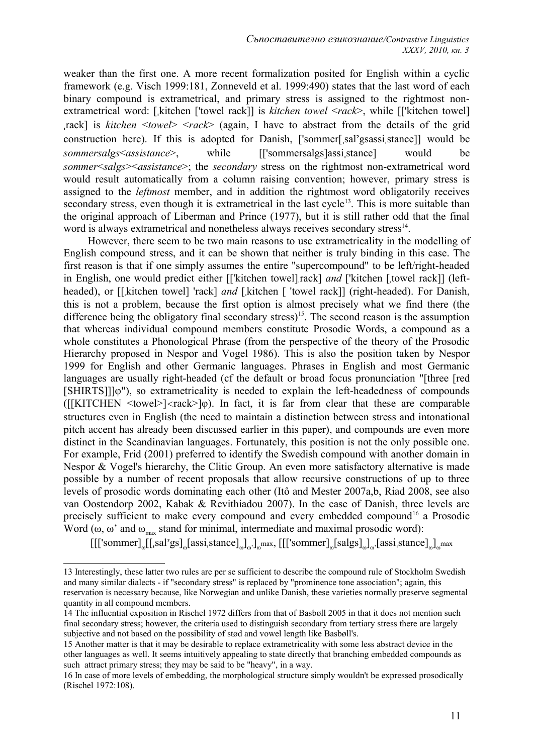weaker than the first one. A more recent formalization posited for English within a cyclic framework (e.g. Visch 1999:181, Zonneveld et al. 1999:490) states that the last word of each binary compound is extrametrical, and primary stress is assigned to the rightmost nonextrametrical word: [ˌkitchen ['towel rack]] is *kitchen towel* <*rack*>, while [['kitchen towel] ˌrack] is *kitchen* <*towel*> <*rack*> (again, I have to abstract from the details of the grid construction here). If this is adopted for Danish, ['sommer[ˌsalˀgsassiˌstance]] would be *sommersalgs*<*assistance*>, while [['sommersalgs]assiˌstance] would be *sommer*<*salgs*><*assistance*>; the *secondary* stress on the rightmost non-extrametrical word would result automatically from a column raising convention; however, primary stress is assigned to the *leftmost* member, and in addition the rightmost word obligatorily receives secondary stress, even though it is extrametrical in the last cycle<sup>[13](#page-10-0)</sup>. This is more suitable than the original approach of Liberman and Prince (1977), but it is still rather odd that the final word is always extrametrical and nonetheless always receives secondary stress<sup>[14](#page-10-1)</sup>.

However, there seem to be two main reasons to use extrametricality in the modelling of English compound stress, and it can be shown that neither is truly binding in this case. The first reason is that if one simply assumes the entire "supercompound" to be left/right-headed in English, one would predict either [['kitchen towel]ˌrack] *and* ['kitchen [ˌtowel rack]] (leftheaded), or [[kitchen towel] 'rack] *and* [kitchen [ 'towel rack]] (right-headed). For Danish, this is not a problem, because the first option is almost precisely what we find there (the difference being the obligatory final secondary stress)<sup>[15](#page-10-2)</sup>. The second reason is the assumption that whereas individual compound members constitute Prosodic Words, a compound as a whole constitutes a Phonological Phrase (from the perspective of the theory of the Prosodic Hierarchy proposed in Nespor and Vogel 1986). This is also the position taken by Nespor 1999 for English and other Germanic languages. Phrases in English and most Germanic languages are usually right-headed (cf the default or broad focus pronunciation "[three [red [SHIRTS]]]φ"), so extrametricality is needed to explain the left-headedness of compounds  $([[KITCHEN *twoel*]*arack*]$  ( $[n]$ ). In fact, it is far from clear that these are comparable structures even in English (the need to maintain a distinction between stress and intonational pitch accent has already been discussed earlier in this paper), and compounds are even more distinct in the Scandinavian languages. Fortunately, this position is not the only possible one. For example, Frid (2001) preferred to identify the Swedish compound with another domain in Nespor & Vogel's hierarchy, the Clitic Group. An even more satisfactory alternative is made possible by a number of recent proposals that allow recursive constructions of up to three levels of prosodic words dominating each other (Itô and Mester 2007a,b, Riad 2008, see also van Oostendorp 2002, Kabak & Revithiadou 2007). In the case of Danish, three levels are precisely sufficient to make every compound and every embedded compound<sup>[16](#page-10-3)</sup> a Prosodic Word ( $\omega$ ,  $\omega'$  and  $\omega_{\text{max}}$  stand for minimal, intermediate and maximal prosodic word):

 $[[[ 'sommer]_{\omega}[[, sal'gs]_{\omega} [assi,stance]_{\omega}]_{\omega} ]_{\omega}$ max,  $[[[ 'sommer]_{\omega} [salgs]_{\omega} ]_{\omega} [assi,stance]_{\omega} ]_{\omega}$ max

<span id="page-10-0"></span><sup>13</sup> Interestingly, these latter two rules are per se sufficient to describe the compound rule of Stockholm Swedish and many similar dialects - if "secondary stress" is replaced by "prominence tone association"; again, this reservation is necessary because, like Norwegian and unlike Danish, these varieties normally preserve segmental quantity in all compound members.

<span id="page-10-1"></span><sup>14</sup> The influential exposition in Rischel 1972 differs from that of Basbøll 2005 in that it does not mention such final secondary stress; however, the criteria used to distinguish secondary from tertiary stress there are largely subjective and not based on the possibility of stød and vowel length like Basbøll's.

<span id="page-10-2"></span><sup>15</sup> Another matter is that it may be desirable to replace extrametricality with some less abstract device in the other languages as well. It seems intuitively appealing to state directly that branching embedded compounds as such attract primary stress; they may be said to be "heavy", in a way.

<span id="page-10-3"></span><sup>16</sup> In case of more levels of embedding, the morphological structure simply wouldn't be expressed prosodically (Rischel 1972:108).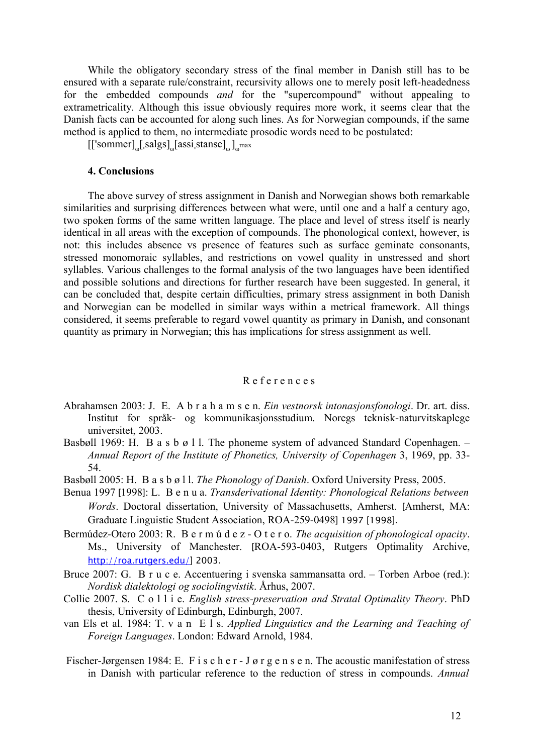While the obligatory secondary stress of the final member in Danish still has to be ensured with a separate rule/constraint, recursivity allows one to merely posit left-headedness for the embedded compounds *and* for the "supercompound" without appealing to extrametricality. Although this issue obviously requires more work, it seems clear that the Danish facts can be accounted for along such lines. As for Norwegian compounds, if the same method is applied to them, no intermediate prosodic words need to be postulated:

 $[[\text{'sommer}]_{\omega}[\text{,}slgs]_{\omega}[\text{assign,}slanse]_{\omega}]_{\omega}$ max

## **4. Conclusions**

The above survey of stress assignment in Danish and Norwegian shows both remarkable similarities and surprising differences between what were, until one and a half a century ago, two spoken forms of the same written language. The place and level of stress itself is nearly identical in all areas with the exception of compounds. The phonological context, however, is not: this includes absence vs presence of features such as surface geminate consonants, stressed monomoraic syllables, and restrictions on vowel quality in unstressed and short syllables. Various challenges to the formal analysis of the two languages have been identified and possible solutions and directions for further research have been suggested. In general, it can be concluded that, despite certain difficulties, primary stress assignment in both Danish and Norwegian can be modelled in similar ways within a metrical framework. All things considered, it seems preferable to regard vowel quantity as primary in Danish, and consonant quantity as primary in Norwegian; this has implications for stress assignment as well.

## R e f e r e n c e s

- Abrahamsen 2003: J. E. A b r a h a m s e n. *Ein vestnorsk intonasjonsfonologi*. Dr. art. diss. Institut for språk- og kommunikasjonsstudium. Noregs teknisk-naturvitskaplege universitet, 2003.
- Basbøll 1969: H. B a s b ø l l. The phoneme system of advanced Standard Copenhagen. *Annual Report of the Institute of Phonetics, University of Copenhagen* 3, 1969, pp. 33- 54.
- Basbøll 2005: H. B a s b ø l l. *The Phonology of Danish*. Oxford University Press, 2005.
- Benua 1997 [1998]: L. B e n u a. *Transderivational Identity: Phonological Relations between Words*. Doctoral dissertation, University of Massachusetts, Amherst. [Amherst, MA: Graduate Linguistic Student Association, ROA-259-0498] 1997 [1998].
- Bermúdez-Otero 2003: R. B e r m ú d e z O t e r o. *The acquisition of phonological opacity*. Ms., University of Manchester. [ROA-593-0403, Rutgers Optimality Archive, [http://roa.rutgers.edu/\]](http://roa.rutgers.edu/) 2003.
- Bruce 2007: G. B r u c e. Accentuering i svenska sammansatta ord. Torben Arboe (red.): *Nordisk dialektologi og sociolingvistik*. Århus, 2007.
- Collie 2007. S. C o l l i e. *English stress-preservation and Stratal Optimality Theory*. PhD thesis, University of Edinburgh, Edinburgh, 2007.
- van Els et al. 1984: T. v a n E l s. *Applied Linguistics and the Learning and Teaching of Foreign Languages*. London: Edward Arnold, 1984.
- Fischer-Jørgensen 1984: E. F i s c h e r J ø r g e n s e n. The acoustic manifestation of stress in Danish with particular reference to the reduction of stress in compounds. *Annual*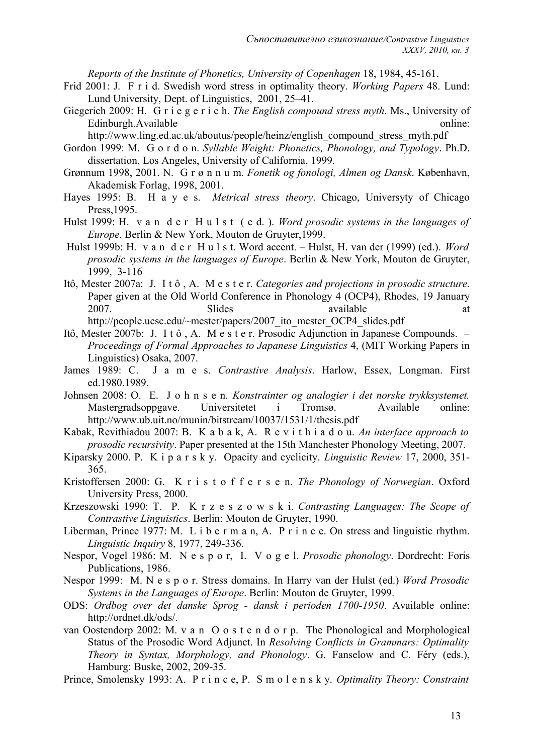*Reports of the Institute of Phonetics, University of Copenhagen* 18, 1984, 45-161.

Frid 2001: J. F r i d. Swedish word stress in optimality theory. *Working Papers* 48. Lund: Lund University, Dept. of Linguistics, 2001, 25–41.

Giegerich 2009: H. G r i e g e r i c h. *The English compound stress myth*. Ms., University of Edinburgh.Available online:

http://www.ling.ed.ac.uk/aboutus/people/heinz/english\_compound\_stress\_myth.pdf

- Gordon 1999: M. G o r d o n. *Syllable Weight: Phonetics, Phonology, and Typology*. Ph.D. dissertation, Los Angeles, University of California, 1999.
- Grønnum 1998, 2001. N. G r ø n n u m. *Fonetik og fonologi, Almen og Dansk*. København, Akademisk Forlag, 1998, 2001.
- Hayes 1995: B. H a y e s. *Metrical stress theory*. Chicago, Universyty of Chicago Press,1995.
- Hulst 1999: H. v a n d e r H u l s t ( e d. ). *Word prosodic systems in the languages of Europe*. Berlin & New York, Mouton de Gruyter,1999.
- Hulst 1999b: H. v a n d e r H u l s t. Word accent. Hulst, H. van der (1999) (ed.). *Word prosodic systems in the languages of Europe*. Berlin & New York, Mouton de Gruyter, 1999, 3-116
- Itô, Mester 2007a: J. I t ô , A. M e s t e r. *Categories and projections in prosodic structure*. Paper given at the Old World Conference in Phonology 4 (OCP4), Rhodes, 19 January 2007. Slides Silis Superintendent at a strategy and a strategy available at a t http://people.ucsc.edu/~mester/papers/2007\_ito\_mester\_OCP4\_slides.pdf
- Itô, Mester 2007b: J. I t ô , A. M e s t e r. Prosodic Adjunction in Japanese Compounds. *Proceedings of Formal Approaches to Japanese Linguistics* 4, (MIT Working Papers in Linguistics) Osaka, 2007.
- James 1989: C. J a m e s. *Contrastive Analysis*. Harlow, Essex, Longman. First ed.1980.1989.
- Johnsen 2008: O. E. J o h n s e n. *Konstrainter og analogier i det norske trykksystemet.* Mastergradsoppgave. Universitetet i Tromsø. Available online: http://www.ub.uit.no/munin/bitstream/10037/1531/1/thesis.pdf
- Kabak, Revithiadou 2007: B. K a b a k, A. R e v i t h i a d o u. *An interface approach to prosodic recursivity*. Paper presented at the 15th Manchester Phonology Meeting, 2007.
- Kiparsky 2000. P. K i p a r s k y. Opacity and cyclicity. *Linguistic Review* 17, 2000, 351- 365.
- Kristoffersen 2000: G. K r i s t o f f e r s e n. *The Phonology of Norwegian*. Oxford University Press, 2000.
- Krzeszowski 1990: T. P. K r z e s z o w s k i. *Contrasting Languages: The Scope of Contrastive Linguistics*. Berlin: Mouton de Gruyter, 1990.
- Liberman, Prince 1977: M. L i b e r m a n, A. P r i n c e. On stress and linguistic rhythm. *Linguistic Inquiry* 8, 1977, 249-336.
- Nespor, Vogel 1986: M. N e s p o r, I. V o g e l. *Prosodic phonology*. Dordrecht: Foris Publications, 1986.
- Nespor 1999: M. N e s p o r. Stress domains. In Harry van der Hulst (ed.) *Word Prosodic Systems in the Languages of Europe*. Berlin: Mouton de Gruyter, 1999.
- ODS: *Ordbog over det danske Sprog dansk i perioden 1700-1950*. Available online: http://ordnet.dk/ods/.
- van Oostendorp 2002: M. v a n O o s t e n d o r p. The Phonological and Morphological Status of the Prosodic Word Adjunct. In *Resolving Conflicts in Grammars: Optimality Theory in Syntax, Morphology, and Phonology*. G. Fanselow and C. Féry (eds.), Hamburg: Buske, 2002, 209-35.
- Prince, Smolensky 1993: A. P r i n c e, P. S m o l e n s k y. *Optimality Theory: Constraint*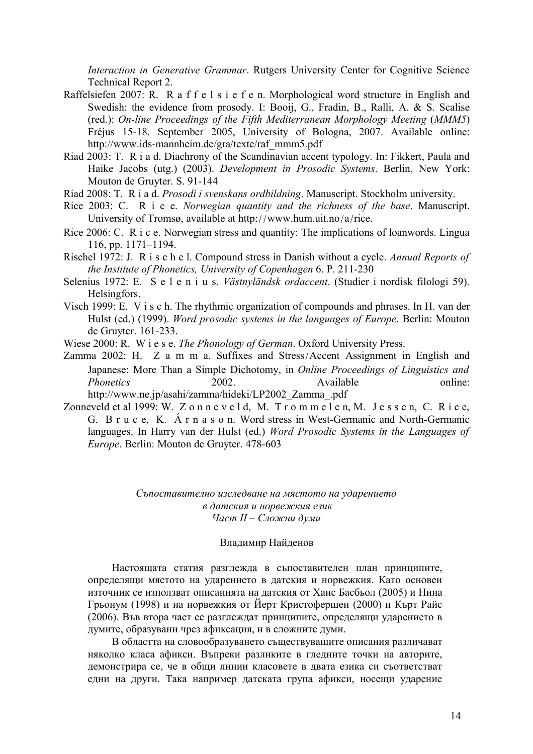*Interaction in Generative Grammar*. Rutgers University Center for Cognitive Science Technical Report 2.

- Raffelsiefen 2007: R. R a f f e l s i e f e n. Morphological word structure in English and Swedish: the evidence from prosody. I: Booij, G., Fradin, B., Ralli, A. & S. Scalise (red.): *On-line Proceedings of the Fifth Mediterranean Morphology Meeting* (*MMM5*) Fréjus 15-18. September 2005, University of Bologna, 2007. Available online: http://www.ids-mannheim.de/gra/texte/raf\_mmm5.pdf
- Riad 2003: T. R i a d. Diachrony of the Scandinavian accent typology. In: Fikkert, Paula and Haike Jacobs (utg.) (2003). *Development in Prosodic Systems*. Berlin, New York: Mouton de Gruyter. S. 91-144
- Riad 2008: T. R i a d. *Prosodi i svenskans ordbildning*. Manuscript. Stockholm university.
- Rice 2003: C. R i c e. *Norwegian quantity and the richness of the base*. Manuscript. University of Tromsø, available at http://www.hum.uit.no/a/rice.
- Rice 2006: C. R i c e. Norwegian stress and quantity: The implications of loanwords. Lingua 116, pp. 1171–1194.
- Rischel 1972: J. R i s c h e l. Compound stress in Danish without a cycle. *Annual Reports of the Institute of Phonetics, University of Copenhagen* 6. P. 211-230
- Selenius 1972: E. S e l e n i u s. *Västnyländsk ordaccent*. (Studier i nordisk filologi 59). Helsingfors.
- Visch 1999: E. V i s c h. The rhythmic organization of compounds and phrases. In H. van der Hulst (ed.) (1999). *Word prosodic systems in the languages of Europe*. Berlin: Mouton de Gruyter. 161-233.
- Wiese 2000: R. W i e s e. *The Phonology of German*. Oxford University Press.
- Zamma 2002: H. Z a m m a. Suffixes and Stress/Accent Assignment in English and Japanese: More Than a Simple Dichotomy, in *Online Proceedings of Linguistics and Phonetics* 2002. Available online: http://www.ne.jp/asahi/zamma/hideki/LP2002\_Zamma\_.pdf
- Zonneveld et al 1999: W. Z o n n e v e l d, M.  $T_{\text{r}}$  o m m e l e n, M. J e s s e n, C. R i c e, G. B r u c e, K. Á r n a s o n. Word stress in West-Germanic and North-Germanic languages. In Harry van der Hulst (ed.) *Word Prosodic Systems in the Languages of Europe*. Berlin: Mouton de Gruyter. 478-603

*Съпоставително изследване на мястото на ударението в датския и норвежкия език Част ІІ – Сложни думи*

#### Владимир Найденов

Настоящата статия разглежда в съпоставителен план принципите, определящи мястото на ударението в датския и норвежкия. Като основен източник се използват описанията на датския от Ханс Басбьол (2005) и Нина Грьонум (1998) и на норвежкия от Йерт Кристофершен (2000) и Кърт Райс (2006). Във втора част се разглеждат принципите, определящи ударението в думите, образувани чрез афиксация, и в сложните думи.

В областта на словообразуването съществуващите описания различават няколко класа афикси. Въпреки разликите в гледните точки на авторите, демонстрира се, че в общи линии класовете в двата езика си съответстват едни на други. Така например датската група афикси, носещи ударение